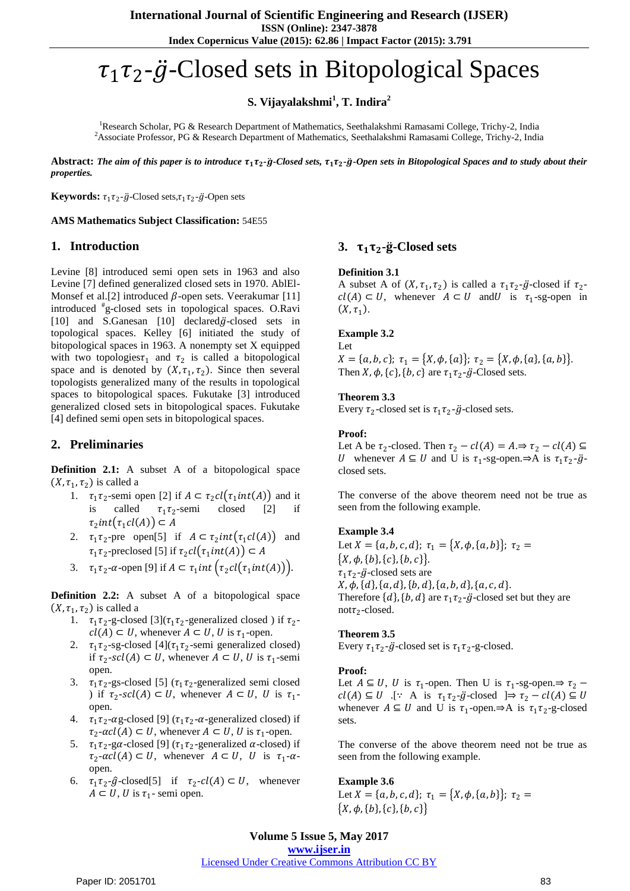**Index Copernicus Value (2015): 62.86 | Impact Factor (2015): 3.791**

# $\tau_1\tau_2$ - $\ddot{g}$ -Closed sets in Bitopological Spaces

**S. Vijayalakshmi<sup>1</sup> , T. Indira<sup>2</sup>**

<sup>1</sup>Research Scholar, PG & Research Department of Mathematics, Seethalakshmi Ramasami College, Trichy-2, India <sup>2</sup>Associate Professor, PG & Research Department of Mathematics, Seethalakshmi Ramasami College, Trichy-2, India

Abstract: The aim of this paper is to introduce  $\tau_1\tau_2$ -g-Closed sets,  $\tau_1\tau_2$ -g-Open sets in Bitopological Spaces and to study about their *properties.*

**Keywords:**  $\tau_1 \tau_2$ - $\ddot{g}$ -Closed sets, $\tau_1 \tau_2$ - $\ddot{g}$ -Open sets

## **AMS Mathematics Subject Classification:** 54E55

# **1. Introduction**

Levine [8] introduced semi open sets in 1963 and also Levine [7] defined generalized closed sets in 1970. AblEl-Monsef et al. [2] introduced  $\beta$ -open sets. Veerakumar [11] introduced # g-closed sets in topological spaces. O.Ravi [10] and S.Ganesan [10] declared $\ddot{g}$ -closed sets in topological spaces. Kelley [6] initiated the study of bitopological spaces in 1963. A nonempty set X equipped with two topologies  $\tau_1$  and  $\tau_2$  is called a bitopological space and is denoted by  $(X, \tau_1, \tau_2)$ . Since then several topologists generalized many of the results in topological spaces to bitopological spaces. Fukutake [3] introduced generalized closed sets in bitopological spaces. Fukutake [4] defined semi open sets in bitopological spaces.

# **2. Preliminaries**

**Definition 2.1:** A subset A of a bitopological space  $(X, \tau_1, \tau_2)$  is called a

- 1.  $\tau_1 \tau_2$ -semi open [2] if  $A \subset \tau_2 \text{cl}(\tau_1 \text{int}(A))$  and it is called  $\tau_1 \tau_2$ -semi closed [2] if  $\tau_2$ int $(\tau_1cl(A))\subset A$
- 2.  $\tau_1 \tau_2$ -pre open[5] if  $A \subset \tau_2 int(\tau_1 cl(A))$  and  $\tau_1 \tau_2$ -preclosed [5] if  $\tau_2 cl(\tau_1 int(A)) \subset A$
- 3.  $\tau_1 \tau_2$ - $\alpha$ -open [9] if  $A \subset \tau_1$ int  $(\tau_2 cl(\tau_1 int(A))).$

**Definition 2.2:** A subset A of a bitopological space  $(X, \tau_1, \tau_2)$  is called a

- 1.  $\tau_1 \tau_2$ -g-closed [3]( $\tau_1 \tau_2$ -generalized closed) if  $\tau_2$  $cl(A) \subset U$ , whenever  $A \subset U$ , U is  $\tau_1$ -open.
- 2.  $\tau_1 \tau_2$ -sg-closed [4]( $\tau_1 \tau_2$ -semi generalized closed) if  $\tau_2$ -scl(A)  $\subset U$ , whenever  $A \subset U$ , U is  $\tau_1$ -semi open.
- 3.  $\tau_1 \tau_2$ -gs-closed [5] ( $\tau_1 \tau_2$ -generalized semi closed ) if  $\tau_2$ -scl(A)  $\subset U$ , whenever  $A \subset U$ , U is  $\tau_1$ open.
- 4.  $\tau_1 \tau_2$ - $\alpha$ g-closed [9] ( $\tau_1 \tau_2$ - $\alpha$ -generalized closed) if  $\tau_2$ - $\alpha cl(A) \subset U$ , whenever  $A \subset U$ , U is  $\tau_1$ -open.
- 5.  $\tau_1 \tau_2$ -g $\alpha$ -closed [9] ( $\tau_1 \tau_2$ -generalized  $\alpha$ -closed) if  $\tau_2$ - $\alpha$ cl(A)  $\subset U$ , whenever  $A \subset U$ , U is  $\tau_1$ - $\alpha$ open.
- 6.  $\tau_1 \tau_2$ - $\hat{g}$ -closed[5] if  $\tau_2$ - $cl(A) \subset U$ , whenever  $A \subset U$ , U is  $\tau_1$ - semi open.

# 3.  $\tau_1 \tau_2$ -g-Closed sets

## **Definition 3.1**

A subset A of  $(X, \tau_1, \tau_2)$  is called a  $\tau_1 \tau_2$ -g-closed if  $\tau_2$  $cl(A) \subset U$ , whenever  $A \subset U$  and is  $\tau_1$ -sg-open in  $(X, \tau_1)$ .

## **Example 3.2**

Let  $X = \{a, b, c\}; \tau_1 = \{X, \phi, \{a\}\}; \tau_2 = \{X, \phi, \{a\}, \{a, b\}\}.$ Then  $X$ ,  $\phi$ ,  $\{c\}$ ,  $\{b, c\}$  are  $\tau_1 \tau_2$ - $\ddot{g}$ -Closed sets.

## **Theorem 3.3**

Every  $\tau_2$ -closed set is  $\tau_1 \tau_2$ - $\ddot{g}$ -closed sets.

## **Proof:**

Let A be  $\tau_2$ -closed. Then  $\tau_2 - cl(A) = A \Rightarrow \tau_2 - cl(A) \subseteq$ *U* whenever  $A \subseteq U$  and U is  $\tau_1$ -sg-open. $\Rightarrow$ A is  $\tau_1 \tau_2$ - $\ddot{g}$ closed sets.

The converse of the above theorem need not be true as seen from the following example.

## **Example 3.4**

Let  $X = \{a, b, c, d\}; \tau_1 = \{X, \phi, \{a, b\}\}; \tau_2 =$  $\{X, \phi, \{b\}, \{c\}, \{b, c\}\}.$  $\tau_1 \tau_2$ - $\ddot{g}$ -closed sets are  $X, \phi, \{d\}, \{a, d\}, \{b, d\}, \{a, b, d\}, \{a, c, d\}.$ Therefore  $\{d\}$ ,  $\{b, d\}$  are  $\tau_1 \tau_2$ - $\ddot{g}$ -closed set but they are  $not\tau_2$ -closed.

**Theorem 3.5**

Every  $\tau_1 \tau_2$ - $\ddot{g}$ -closed set is  $\tau_1 \tau_2$ -g-closed.

## **Proof:**

Let  $A \subseteq U$ , U is  $\tau_1$ -open. Then U is  $\tau_1$ -sg-open. $\Rightarrow \tau_2$  –  $cl(A) \subseteq U$  .[∵ A is  $\tau_1 \tau_2 \text{-} \ddot{g}$ -closed  $] \Rightarrow \tau_2 - cl(A) \subseteq U$ whenever  $A \subseteq U$  and U is  $\tau_1$ -open. $\Rightarrow$ A is  $\tau_1 \tau_2$ -g-closed sets.

The converse of the above theorem need not be true as seen from the following example.

# **Example 3.6**

Let  $X = \{a, b, c, d\}; \tau_1 = \{X, \phi, \{a, b\}\}; \tau_2 =$  $\{X, \phi, \{b\}, \{c\}, \{b, c\}\}\$ 

**Volume 5 Issue 5, May 2017 www.ijser.in**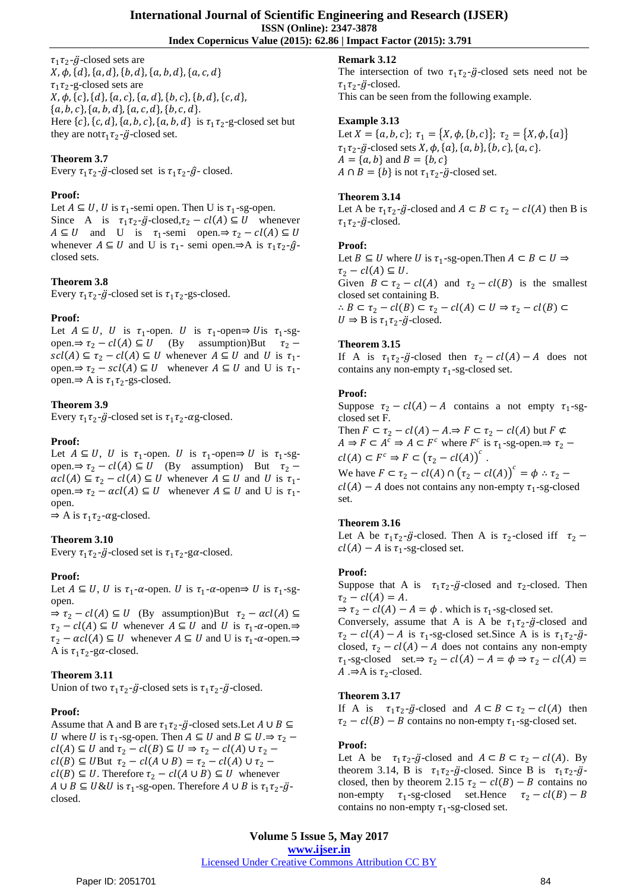**Index Copernicus Value (2015): 62.86 | Impact Factor (2015): 3.791**

 $\tau_1 \tau_2$ - $\ddot{g}$ -closed sets are  $X, \phi, \{d\}, \{a, d\}, \{b, d\}, \{a, b, d\}, \{a, c, d\}$  $\tau_1 \tau_2$ -g-closed sets are  $X, \phi, \{c\}, \{d\}, \{a, c\}, \{a, d\}, \{b, c\}, \{b, d\}, \{c, d\},$  $\{a, b, c\}, \{a, b, d\}, \{a, c, d\}, \{b, c, d\}.$ Here  $\{c\}$ ,  $\{c, d\}$ ,  $\{a, b, c\}$ ,  $\{a, b, d\}$  is  $\tau_1 \tau_2$ -g-closed set but they are not  $\tau_1 \tau_2$ - $\ddot{g}$ -closed set.

# **Theorem 3.7**

Every  $\tau_1 \tau_2$ - $\ddot{g}$ -closed set is  $\tau_1 \tau_2$ - $\hat{g}$ -closed.

## **Proof:**

Let  $A \subseteq U$ , U is  $\tau_1$ -semi open. Then U is  $\tau_1$ -sg-open. Since A is  $\tau_1 \tau_2$ - $\ddot{g}$ -closed, $\tau_2 - cl(A) \subseteq U$  whenever  $A \subseteq U$  and U is  $\tau_1$ -semi open. $\Rightarrow \tau_2 - cl(A) \subseteq U$ whenever  $A \subseteq U$  and U is  $\tau_1$ - semi open. $\Rightarrow$ A is  $\tau_1 \tau_2$ - $\hat{g}$ closed sets.

# **Theorem 3.8**

Every  $\tau_1 \tau_2$ - $\ddot{g}$ -closed set is  $\tau_1 \tau_2$ -gs-closed.

## **Proof:**

Let  $A \subseteq U$ , U is  $\tau_1$ -open. U is  $\tau_1$ -open $\Rightarrow$  U is  $\tau_1$ -sgopen.⇒  $\tau_2 - cl(A) \subseteq U$  (By assumption)But  $\tau_2$  –  $\mathit{ccl}(A) \subseteq \tau_2 - \mathit{cl}(A) \subseteq U$  whenever  $A \subseteq U$  and U is  $\tau_1$ open. $\Rightarrow \tau_2 - \text{scl}(A) \subseteq U$  whenever  $A \subseteq U$  and U is  $\tau_1$ open.⇒ A is  $\tau_1 \tau_2$ -gs-closed.

## **Theorem 3.9**

Every  $\tau_1 \tau_2$ - $\ddot{g}$ -closed set is  $\tau_1 \tau_2$ - $\alpha$ g-closed.

## **Proof:**

Let  $A \subseteq U$ , U is  $\tau_1$ -open. U is  $\tau_1$ -open $\Rightarrow$  U is  $\tau_1$ -sgopen.⇒  $\tau_2 - cl(A) \subseteq U$  (By assumption) But  $\tau_2$  –  $\alpha cl(A) \subseteq \tau_2 - cl(A) \subseteq U$  whenever  $A \subseteq U$  and U is  $\tau_1$ open. $\Rightarrow \tau_2 - \alpha c l(A) \subseteq U$  whenever  $A \subseteq U$  and U is τ<sub>1</sub>open.

 $\Rightarrow$  A is  $\tau_1 \tau_2$ - $\alpha$ g-closed.

# **Theorem 3.10**

Every  $\tau_1 \tau_2$ - $\ddot{g}$ -closed set is  $\tau_1 \tau_2$ -ga-closed.

## **Proof:**

Let  $A \subseteq U$ , U is  $\tau_1$ - $\alpha$ -open. U is  $\tau_1$ - $\alpha$ -open $\Rightarrow$  U is  $\tau_1$ -sgopen.

 $\Rightarrow \tau_2 - cl(A) \subseteq U$  (By assumption)But  $\tau_2 - \alpha cl(A) \subseteq$  $\tau_2 - cl(A) \subseteq U$  whenever  $A \subseteq U$  and U is  $\tau_1$ - $\alpha$ -open. $\Rightarrow$  $\tau_2 - \alpha c l(A) \subseteq U$  whenever  $A \subseteq U$  and U is  $\tau_1$ - $\alpha$ -open. $\Rightarrow$ A is  $\tau_1 \tau_2$ -ga-closed.

## **Theorem 3.11**

Union of two  $\tau_1 \tau_2$ - $\ddot{g}$ -closed sets is  $\tau_1 \tau_2$ - $\ddot{g}$ -closed.

## **Proof:**

Assume that A and B are  $\tau_1 \tau_2$ - $\ddot{g}$ -closed sets. Let  $A \cup B \subseteq$ U where U is  $\tau_1$ -sg-open. Then  $A \subseteq U$  and  $B \subseteq U \Rightarrow \tau_2$  –  $cl(A) \subseteq U$  and  $\tau_2 - cl(B) \subseteq U \Rightarrow \tau_2 - cl(A) \cup \tau_2$  $cl(B) \subseteq U$ But  $\tau_2 - cl(A \cup B) = \tau_2 - cl(A) \cup \tau_2$  $cl(B) \subseteq U$ . Therefore  $\tau_2 - cl(A \cup B) \subseteq U$  whenever  $A \cup B \subseteq U \& U$  is  $\tau_1$ -sg-open. Therefore  $A \cup B$  is  $\tau_1 \tau_2$ - $\ddot{g}$ closed.

# **Remark 3.12**

The intersection of two  $\tau_1 \tau_2$ - $\ddot{g}$ -closed sets need not be  $\tau_1 \tau_2$ - $\ddot{g}$ -closed.

This can be seen from the following example.

## **Example 3.13**

Let  $X = \{a, b, c\}; \tau_1 = \{X, \phi, \{b, c\}\}; \tau_2 = \{X, \phi, \{a\}\}\$  $\tau_1 \tau_2$ - $\ddot{g}$ -closed sets  $X$ ,  $\phi$ ,  $\{a\}$ ,  $\{a, b\}$ ,  $\{b, c\}$ ,  $\{a, c\}$ .  $A = \{a, b\}$  and  $B = \{b, c\}$  $A \cap B = \{b\}$  is not  $\tau_1 \tau_2$ - $\ddot{g}$ -closed set.

## **Theorem 3.14**

Let A be  $\tau_1 \tau_2$ - $\ddot{g}$ -closed and  $A \subset B \subset \tau_2 - cl(A)$  then B is  $\tau_1 \tau_2$ - $\ddot{g}$ -closed.

## **Proof:**

Let  $B \subseteq U$  where U is  $\tau_1$ -sg-open. Then  $A \subset B \subset U \Rightarrow$  $\tau_2 - cl(A) \subseteq U$ . Given  $B \subset \tau_2 - cl(A)$  and  $\tau_2 - cl(B)$  is the smallest closed set containing B. ∴  $B \subset \tau_2 - cl(B) \subset \tau_2 - cl(A) \subset U \Rightarrow \tau_2 - cl(B) \subset$  $U \Rightarrow B$  is  $\tau_1 \tau_2$ - $\ddot{g}$ -closed.

## **Theorem 3.15**

If A is  $\tau_1 \tau_2$ -g-closed then  $\tau_2 - cl(A) - A$  does not contains any non-empty  $\tau_1$ -sg-closed set.

#### **Proof:**

Suppose  $\tau_2 - cl(A) - A$  contains a not empty  $\tau_1$ -sgclosed set F. Then  $F \subset \tau_2 - cl(A) - A \Rightarrow F \subset \tau_2 - cl(A)$  but  $F \not\subset$  $A \Rightarrow F \subset A^c \Rightarrow A \subset F^c$  where  $F^c$  is  $\tau_1$ -sg-open. $\Rightarrow \tau_2$  –  $cl(A) \subset F^c \Rightarrow F \subset (\tau_2 - cl(A))^c$ .

We have  $F \subset \tau_2 - cl(A) \cap (\tau_2 - cl(A))^c = \phi : \tau_2$  $cl(A) - A$  does not contains any non-empty  $\tau_1$ -sg-closed set.

## **Theorem 3.16**

Let A be  $\tau_1 \tau_2$ -g-closed. Then A is  $\tau_2$ -closed iff  $\tau_2$  –  $cl(A) - A$  is  $\tau_1$ -sg-closed set.

## **Proof:**

Suppose that A is  $\tau_1 \tau_2$ - $\ddot{g}$ -closed and  $\tau_2$ -closed. Then  $\tau_2 - cl(A) = A.$ 

 $\Rightarrow \tau_2 - cl(A) - A = \phi$ . which is  $\tau_1$ -sg-closed set.

Conversely, assume that A is A be  $\tau_1 \tau_2$ - $\ddot{g}$ -closed and  $\tau_2 - cl(A) - A$  is  $\tau_1$ -sg-closed set. Since A is is  $\tau_1 \tau_2 - \ddot{g}$ closed,  $\tau_2 - cl(A) - A$  does not contains any non-empty  $\tau_1$ -sg-closed set. $\Rightarrow \tau_2 - cl(A) - A = \phi \Rightarrow \tau_2 - cl(A) =$ A . $\Rightarrow$  A is  $\tau_2$ -closed.

## **Theorem 3.17**

If A is  $\tau_1 \tau_2$ -g-closed and  $A \subset B \subset \tau_2 - cl(A)$  then  $\tau_2 - cl(B) - B$  contains no non-empty  $\tau_1$ -sg-closed set.

## **Proof:**

Let A be  $\tau_1 \tau_2$ -g-closed and  $A \subset B \subset \tau_2 - cl(A)$ . By theorem 3.14, B is  $\tau_1 \tau_2 - \ddot{g}$ -closed. Since B is  $\tau_1 \tau_2 - \ddot{g}$ closed, then by theorem 2.15  $\tau_2 - cl(B) - B$  contains no<br>non-empty  $\tau_1$ -sg-closed set.Hence  $\tau_2 - cl(B) - B$ non-empty  $\tau_1$ -sg-closed set.Hence  $\tau_2 - cl(B) - B$ contains no non-empty  $\tau_1$ -sg-closed set.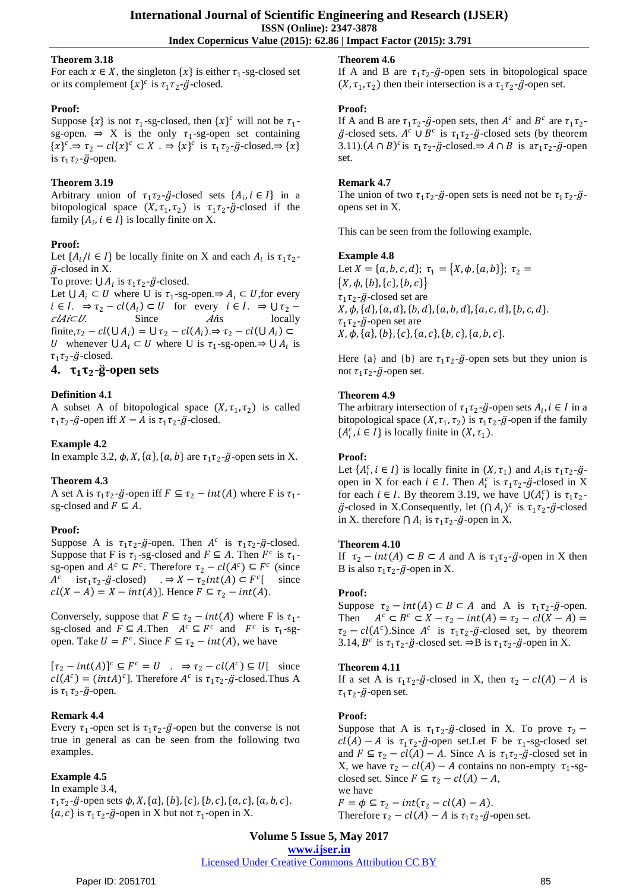## **Theorem 3.18**

For each  $x \in X$ , the singleton  $\{x\}$  is either  $\tau_1$ -sg-closed set or its complement  $\{x\}^c$  is  $\tau_1 \tau_2$ - $\ddot{g}$ -closed.

## **Proof:**

Suppose  $\{x\}$  is not  $\tau_1$ -sg-closed, then  $\{x\}^c$  will not be  $\tau_1$ sg-open.  $\Rightarrow$  X is the only  $\tau_1$ -sg-open set containing  $\{x\}^c \Rightarrow \tau_2 - cl\{x\}^c \subset X$ .  $\Rightarrow \{x\}^c$  is  $\tau_1 \tau_2$ -*g*-closed. $\Rightarrow \{x\}$ is  $\tau_1 \tau_2$ - $\ddot{g}$ -open.

# **Theorem 3.19**

Arbitrary union of  $\tau_1 \tau_2 - \ddot{g}$ -closed sets  $\{A_i, i \in I\}$  in a bitopological space  $(X, \tau_1, \tau_2)$  is  $\tau_1 \tau_2$ -g-closed if the family  $\{A_i, i \in I\}$  is locally finite on X.

# **Proof:**

Let  $\{A_i / i \in I\}$  be locally finite on X and each  $A_i$  is  $\tau_1 \tau_2$ - $\ddot{g}$ -closed in X.

To prove:  $\bigcup A_i$  is  $\tau_1 \tau_2$ - $\ddot{g}$ -closed.

Let  $\bigcup A_i \subset U$  where U is  $\tau_1$ -sg-open. $\Rightarrow A_i \subset U$ , for every  $i \in I$ .  $\Rightarrow \tau_2 - cl(A_i) \subset U$  for every  $i \in I$ .  $\Rightarrow \cup \tau_2$  $clAicU$ . Since  $A$ *i*s locally finite,  $\tau_2 - cl(\cup A_i) = \cup \tau_2 - cl(A_i) \Rightarrow \tau_2 - cl(\cup A_i) \subset$ *U* whenever  $\bigcup A_i \subset U$  where U is  $\tau_1$ -sg-open. $\Rightarrow \bigcup A_i$  is  $\tau_1 \tau_2$ - $\ddot{g}$ -closed.

# **4.**  $\tau_1 \tau_2$ -g-open sets

# **Definition 4.1**

A subset A of bitopological space  $(X, \tau_1, \tau_2)$  is called  $\tau_1 \tau_2$ - $\ddot{g}$ -open iff  $X - A$  is  $\tau_1 \tau_2$ - $\ddot{g}$ -closed.

# **Example 4.2**

In example 3.2,  $\phi$ , X,  $\{a\}$ ,  $\{a, b\}$  are  $\tau_1 \tau_2$ - $\ddot{g}$ -open sets in X.

# **Theorem 4.3**

A set A is  $\tau_1 \tau_2$ - $\ddot{g}$ -open iff  $F \subseteq \tau_2 - int(A)$  where F is  $\tau_1$ sg-closed and  $F \subseteq A$ .

# **Proof:**

Suppose A is  $\tau_1 \tau_2$ - $\ddot{g}$ -open. Then  $A^c$  is  $\tau_1 \tau_2$ - $\ddot{g}$ -closed. Suppose that F is  $\tau_1$ -sg-closed and  $F \subseteq A$ . Then  $F^c$  is  $\tau_1$ sg-open and  $A^c \subseteq F^c$ . Therefore  $\tau_2 - cl(A^c) \subseteq F^c$  (since  $A^c$ is $\tau_1 \tau_2$ - $\ddot{g}$ -closed) .⇒  $X - \tau_2 int(A) \subset F^c$ [ since  $cl(X - A) = X - int(A)$ . Hence  $F \subseteq \tau_2 - int(A)$ .

Conversely, suppose that  $F \subseteq \tau_2 - int(A)$  where F is  $\tau_1$ sg-closed and  $F \subseteq A$ . Then  $A^c \subseteq F^c$  and  $F^c$  is  $\tau_1$ -sgopen. Take  $U = F^c$ . Since  $F \subseteq \tau_2 - int(A)$ , we have

 $[\tau_2 - int(A)]^c \subseteq F^c = U$  .  $\Rightarrow \tau_2 - cl(A^c) \subseteq U$  since  $cl(A<sup>c</sup>) = (int A)<sup>c</sup>$ ]. Therefore  $A<sup>c</sup>$  is  $\tau_1 \tau_2$ - $\ddot{g}$ -closed. Thus A is  $\tau_1 \tau_2$ - $\ddot{g}$ -open.

# **Remark 4.4**

Every  $\tau_1$ -open set is  $\tau_1 \tau_2$ - $\ddot{g}$ -open but the converse is not true in general as can be seen from the following two examples.

# **Example 4.5**

In example 3.4,  $\tau_1 \tau_2$ - $\ddot{g}$ -open sets  $\phi$ , X, {a}, {b}, {c}, {b, c}, {a, c}, {a, b, c}.  $\{a, c\}$  is  $\tau_1 \tau_2$ - $\ddot{g}$ -open in X but not  $\tau_1$ -open in X.

# **Theorem 4.6**

If A and B are  $\tau_1 \tau_2$ - $\ddot{g}$ -open sets in bitopological space  $(X, \tau_1, \tau_2)$  then their intersection is a  $\tau_1 \tau_2$ - $\ddot{g}$ -open set.

## **Proof:**

If A and B are  $\tau_1 \tau_2$ - $\ddot{g}$ -open sets, then  $A^c$  and  $B^c$  are  $\tau_1 \tau_2$ - $\ddot{g}$ -closed sets.  $A^c \cup B^c$  is  $\tau_1 \tau_2$ - $\ddot{g}$ -closed sets (by theorem 3.11).  $(A \cap B)^c$  is  $\tau_1 \tau_2$ - $\ddot{g}$ -closed.  $\Rightarrow$   $A \cap B$  is  $a\tau_1 \tau_2$ - $\ddot{g}$ -open set.

## **Remark 4.7**

The union of two  $\tau_1 \tau_2$ - $\ddot{g}$ -open sets is need not be  $\tau_1 \tau_2$ - $\ddot{g}$ opens set in X.

This can be seen from the following example.

## **Example 4.8**

Let  $X = \{a, b, c, d\}; \tau_1 = \{X, \phi, \{a, b\}\}; \tau_2 =$  $\{X, \phi, \{b\}, \{c\}, \{b, c\}\}\$  $\tau_1 \tau_2$ - $\ddot{g}$ -closed set are  $X, \phi, \{d\}, \{a, d\}, \{b, d\}, \{a, b, d\}, \{a, c, d\}, \{b, c, d\}.$  $\tau_1 \tau_2$ - $\ddot{g}$ -open set are  $X, \phi, \{a\}, \{b\}, \{c\}, \{a, c\}, \{b, c\}, \{a, b, c\}.$ 

Here  $\{a\}$  and  $\{b\}$  are  $\tau_1 \tau_2 - \ddot{g}$ -open sets but they union is not  $\tau_1 \tau_2$ - $\ddot{g}$ -open set.

# **Theorem 4.9**

The arbitrary intersection of  $\tau_1 \tau_2$ - $\ddot{g}$ -open sets  $A_i$ ,  $i \in I$  in a bitopological space  $(X, \tau_1, \tau_2)$  is  $\tau_1 \tau_2$ - $\ddot{g}$ -open if the family  $\{A_i^c, i \in I\}$  is locally finite in  $(X, \tau_1)$ .

# **Proof:**

Let  $\{A_i^c, i \in I\}$  is locally finite in  $(X, \tau_1)$  and  $A_i$  is  $\tau_1 \tau_2 - \ddot{g}$ open in X for each  $i \in I$ . Then  $A_i^c$  is  $\tau_1 \tau_2$ -*g*-closed in X for each  $i \in I$ . By theorem 3.19, we have  $\bigcup (A_i^c)$  is  $\tau_1 \tau_2$ - $\ddot{g}$ -closed in X.Consequently, let  $(\bigcap A_i)^c$  is  $\tau_1 \tau_2$ - $\ddot{g}$ -closed in X. therefore  $\bigcap A_i$  is  $\tau_1 \tau_2$ - $\ddot{g}$ -open in X.

## **Theorem 4.10**

If  $\tau_2 - int(A) \subset B \subset A$  and A is  $\tau_1 \tau_2 - \ddot{g}$ -open in X then B is also  $\tau_1 \tau_2$ - $\ddot{g}$ -open in X.

# **Proof:**

Suppose  $\tau_2 - int(A) \subset B \subset A$  and A is  $\tau_1 \tau_2 - \ddot{g}$ -open. Then  $c \subset B^c \subset X - \tau_2 - int(A) = \tau_2 - cl(X - A) =$  $\tau_2 - cl(A^c)$ . Since  $A^c$  is  $\tau_1 \tau_2 - \ddot{g}$ -closed set, by theorem 3.14,  $B^c$  is  $\tau_1 \tau_2$ - $\ddot{g}$ -closed set.  $\Rightarrow B$  is  $\tau_1 \tau_2$ - $\ddot{g}$ -open in X.

# **Theorem 4.11**

If a set A is  $\tau_1 \tau_2$ - $\ddot{g}$ -closed in X, then  $\tau_2 - cl(A) - A$  is  $\tau_1 \tau_2$ - $\ddot{g}$ -open set.

# **Proof:**

Suppose that A is  $\tau_1 \tau_2$ -g-closed in X. To prove  $\tau_2$  –  $cl(A) - A$  is  $\tau_1 \tau_2 - \ddot{g}$ -open set. Let F be  $\tau_1$ -sg-closed set and  $F \subseteq \tau_2 - cl(A) - A$ . Since A is  $\tau_1 \tau_2$ -*g*-closed set in X, we have  $\tau_2 - cl(A) - A$  contains no non-empty  $\tau_1$ -sgclosed set. Since  $F \subseteq \tau_2 - cl(A) - A$ , we have  $F = \phi \subseteq \tau_2 - int(\tau_2 - cl(A) - A).$ 

Therefore  $\tau_2 - cl(A) - A$  is  $\tau_1 \tau_2$ - $\ddot{g}$ -open set.

**Volume 5 Issue 5, May 2017 www.ijser.in**